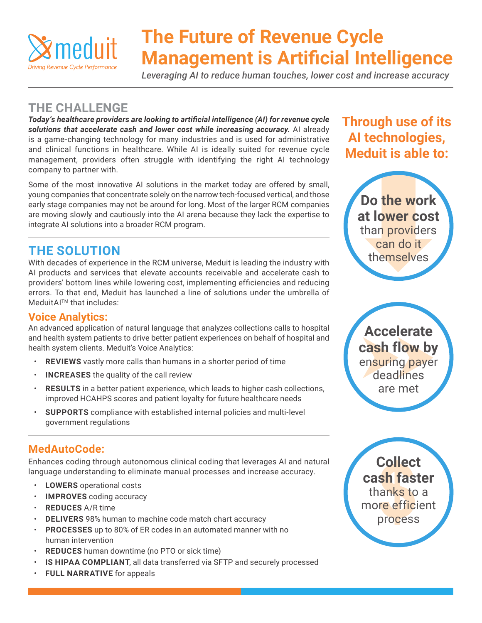

# **The Future of Revenue Cycle Management is Artificial Intelligence**

*Leveraging AI to reduce human touches, lower cost and increase accuracy*

## **THE CHALLENGE**

*Today's healthcare providers are looking to artificial intelligence (AI) for revenue cycle*  solutions that accelerate cash and lower cost while increasing accuracy. Al already is a game-changing technology for many industries and is used for administrative and clinical functions in healthcare. While AI is ideally suited for revenue cycle management, providers often struggle with identifying the right AI technology company to partner with.

Some of the most innovative AI solutions in the market today are offered by small, young companies that concentrate solely on the narrow tech-focused vertical, and those early stage companies may not be around for long. Most of the larger RCM companies are moving slowly and cautiously into the AI arena because they lack the expertise to integrate AI solutions into a broader RCM program.

# **THE SOLUTION**

With decades of experience in the RCM universe, Meduit is leading the industry with AI products and services that elevate accounts receivable and accelerate cash to providers' bottom lines while lowering cost, implementing efficiencies and reducing errors. To that end, Meduit has launched a line of solutions under the umbrella of MeduitAITM that includes:

### **Voice Analytics:**

An advanced application of natural language that analyzes collections calls to hospital and health system patients to drive better patient experiences on behalf of hospital and health system clients. Meduit's Voice Analytics:

- **REVIEWS** vastly more calls than humans in a shorter period of time
- **INCREASES** the quality of the call review
- **RESULTS** in a better patient experience, which leads to higher cash collections, improved HCAHPS scores and patient loyalty for future healthcare needs
- **SUPPORTS** compliance with established internal policies and multi-level government regulations

### **MedAutoCode:**

Enhances coding through autonomous clinical coding that leverages AI and natural language understanding to eliminate manual processes and increase accuracy.

- **LOWERS** operational costs
- **IMPROVES** coding accuracy
- **REDUCES** A/R time
- **DELIVERS** 98% human to machine code match chart accuracy
- **PROCESSES** up to 80% of ER codes in an automated manner with no human intervention
- **REDUCES** human downtime (no PTO or sick time)
- **IS HIPAA COMPLIANT**, all data transferred via SFTP and securely processed
- **FULL NARRATIVE** for appeals

# **Through use of its AI technologies, Meduit is able to:**



**Accelerate**<br> **cash flow by**<br> **ensuring payer<br>
deadlines Accelerate cash flow by** ensuring payer deadlines are met

**sh fast**<br>**sh fast**<br>pre effici<br>process **Collect cash faster** thanks to a more efficient process